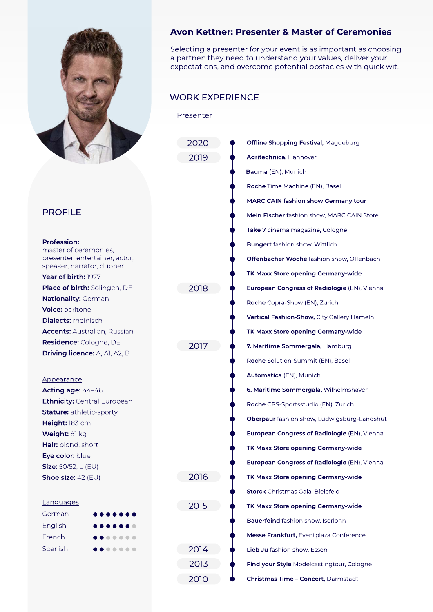

# Avon Kettner: Presenter & Master of Ceremonies

Selecting a presenter for your event is as important as choosing a partner: they need to understand your values, deliver your expectations, and overcome potential obstacles with quick wit.

# WORK EXPERIENCE

Presenter

|                                                                                      | 2020 | Offline Shopping Festival, Magdeburg                |
|--------------------------------------------------------------------------------------|------|-----------------------------------------------------|
|                                                                                      | 2019 | Agritechnica, Hannover                              |
|                                                                                      |      | Bauma (EN), Munich                                  |
|                                                                                      |      | Roche Time Machine (EN), Basel                      |
|                                                                                      |      | <b>MARC CAIN fashion show Germany tour</b>          |
| <b>PROFILE</b>                                                                       |      | Mein Fischer fashion show, MARC CAIN Store          |
|                                                                                      |      | Take 7 cinema magazine, Cologne                     |
| <b>Profession:</b>                                                                   |      | <b>Bungert</b> fashion show, Wittlich               |
| master of ceremonies,<br>presenter, entertainer, actor,<br>speaker, narrator, dubber |      | Offenbacher Woche fashion show, Offenbach           |
| Year of birth: 1977                                                                  |      | TK Maxx Store opening Germany-wide                  |
| Place of birth: Solingen, DE                                                         | 2018 | European Congress of Radiologie (EN), Vienna        |
| Nationality: German                                                                  |      | Roche Copra-Show (EN), Zurich                       |
| Voice: baritone<br><b>Dialects: rheinisch</b>                                        |      | Vertical Fashion-Show, City Gallery Hameln          |
| <b>Accents: Australian, Russian</b>                                                  |      | TK Maxx Store opening Germany-wide                  |
| Residence: Cologne, DE                                                               | 2017 | 7. Maritime Sommergala, Hamburg                     |
| Driving licence: A, A1, A2, B                                                        |      | <b>Roche</b> Solution-Summit (EN), Basel            |
|                                                                                      |      | <b>Automatica</b> (EN), Munich                      |
| <u>Appearance</u><br>Acting age: 44-46                                               |      | 6. Maritime Sommergala, Wilhelmshaven               |
| <b>Ethnicity: Central European</b>                                                   |      | Roche CPS-Sportsstudio (EN), Zurich                 |
| <b>Stature: athletic-sporty</b>                                                      |      | Oberpaur fashion show, Ludwigsburg-Landshut         |
| Height: 183 cm                                                                       |      |                                                     |
| Weight: 81 kg<br>Hair: blond, short                                                  |      | European Congress of Radiologie (EN), Vienna        |
| Eye color: blue                                                                      |      | TK Maxx Store opening Germany-wide                  |
| <b>Size:</b> 50/52, L (EU)                                                           |      | <b>European Congress of Radiologie</b> (EN), Vienna |
| <b>Shoe size:</b> $42$ (EU)                                                          | 2016 | TK Maxx Store opening Germany-wide                  |
|                                                                                      |      | Storck Christmas Gala, Bielefeld                    |
| <u>Languages</u>                                                                     | 2015 | TK Maxx Store opening Germany-wide                  |
| German                                                                               |      | <b>Bauerfeind</b> fashion show, Iserlohn            |
| English<br>French                                                                    |      | Messe Frankfurt, Eventplaza Conference              |
| Spanish                                                                              | 2014 | Lieb Ju fashion show, Essen                         |
|                                                                                      | 2013 |                                                     |
|                                                                                      |      | Find your Style Modelcastingtour, Cologne           |
|                                                                                      | 2010 | Christmas Time - Concert, Darmstadt                 |